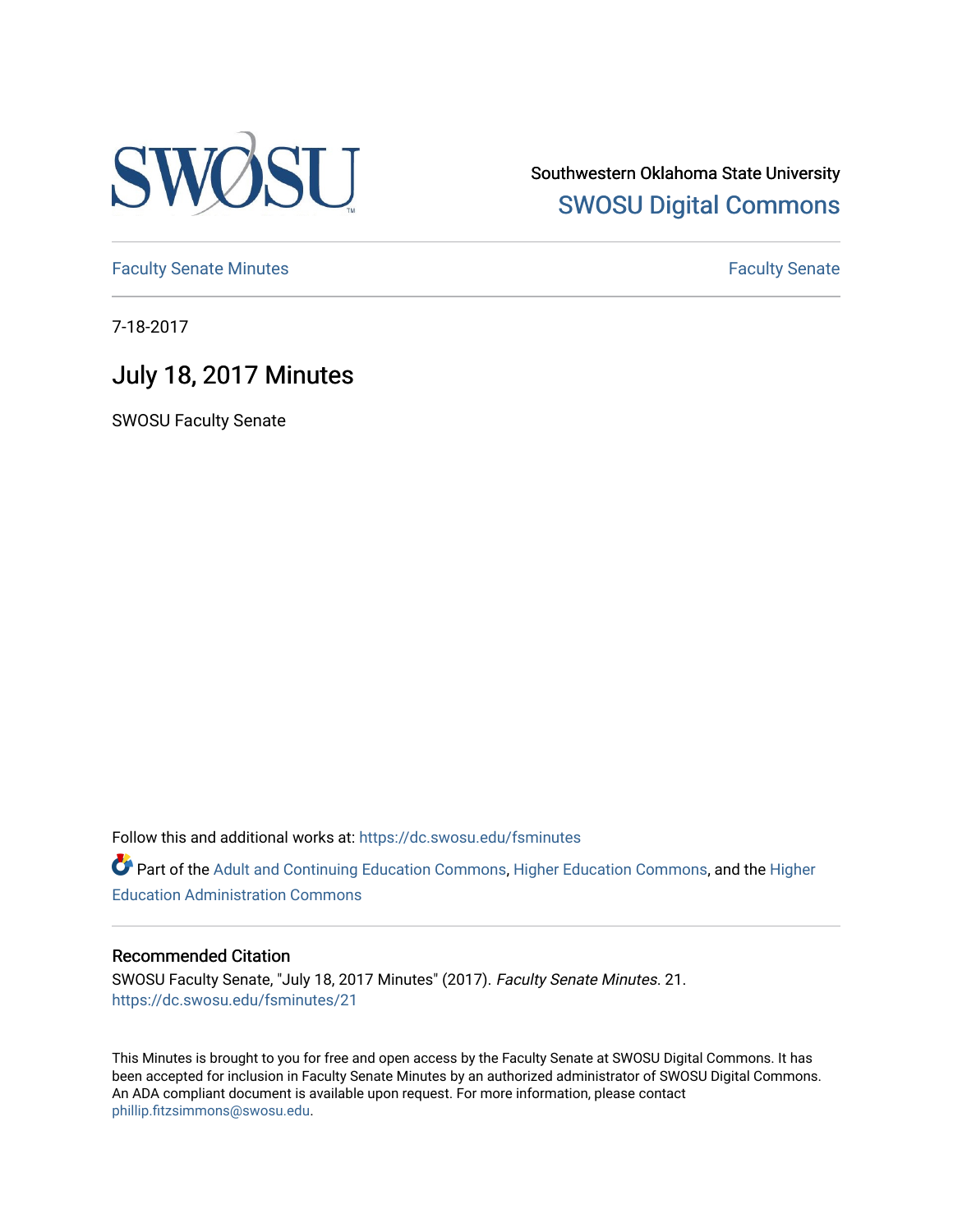

Southwestern Oklahoma State University [SWOSU Digital Commons](https://dc.swosu.edu/) 

[Faculty Senate Minutes](https://dc.swosu.edu/fsminutes) **Faculty** Senate Minutes

7-18-2017

## July 18, 2017 Minutes

SWOSU Faculty Senate

Follow this and additional works at: [https://dc.swosu.edu/fsminutes](https://dc.swosu.edu/fsminutes?utm_source=dc.swosu.edu%2Ffsminutes%2F21&utm_medium=PDF&utm_campaign=PDFCoverPages) 

Part of the [Adult and Continuing Education Commons,](http://network.bepress.com/hgg/discipline/1375?utm_source=dc.swosu.edu%2Ffsminutes%2F21&utm_medium=PDF&utm_campaign=PDFCoverPages) [Higher Education Commons,](http://network.bepress.com/hgg/discipline/1245?utm_source=dc.swosu.edu%2Ffsminutes%2F21&utm_medium=PDF&utm_campaign=PDFCoverPages) and the [Higher](http://network.bepress.com/hgg/discipline/791?utm_source=dc.swosu.edu%2Ffsminutes%2F21&utm_medium=PDF&utm_campaign=PDFCoverPages) [Education Administration Commons](http://network.bepress.com/hgg/discipline/791?utm_source=dc.swosu.edu%2Ffsminutes%2F21&utm_medium=PDF&utm_campaign=PDFCoverPages) 

#### Recommended Citation

SWOSU Faculty Senate, "July 18, 2017 Minutes" (2017). Faculty Senate Minutes. 21. [https://dc.swosu.edu/fsminutes/21](https://dc.swosu.edu/fsminutes/21?utm_source=dc.swosu.edu%2Ffsminutes%2F21&utm_medium=PDF&utm_campaign=PDFCoverPages) 

This Minutes is brought to you for free and open access by the Faculty Senate at SWOSU Digital Commons. It has been accepted for inclusion in Faculty Senate Minutes by an authorized administrator of SWOSU Digital Commons. An ADA compliant document is available upon request. For more information, please contact [phillip.fitzsimmons@swosu.edu](mailto:phillip.fitzsimmons@swosu.edu).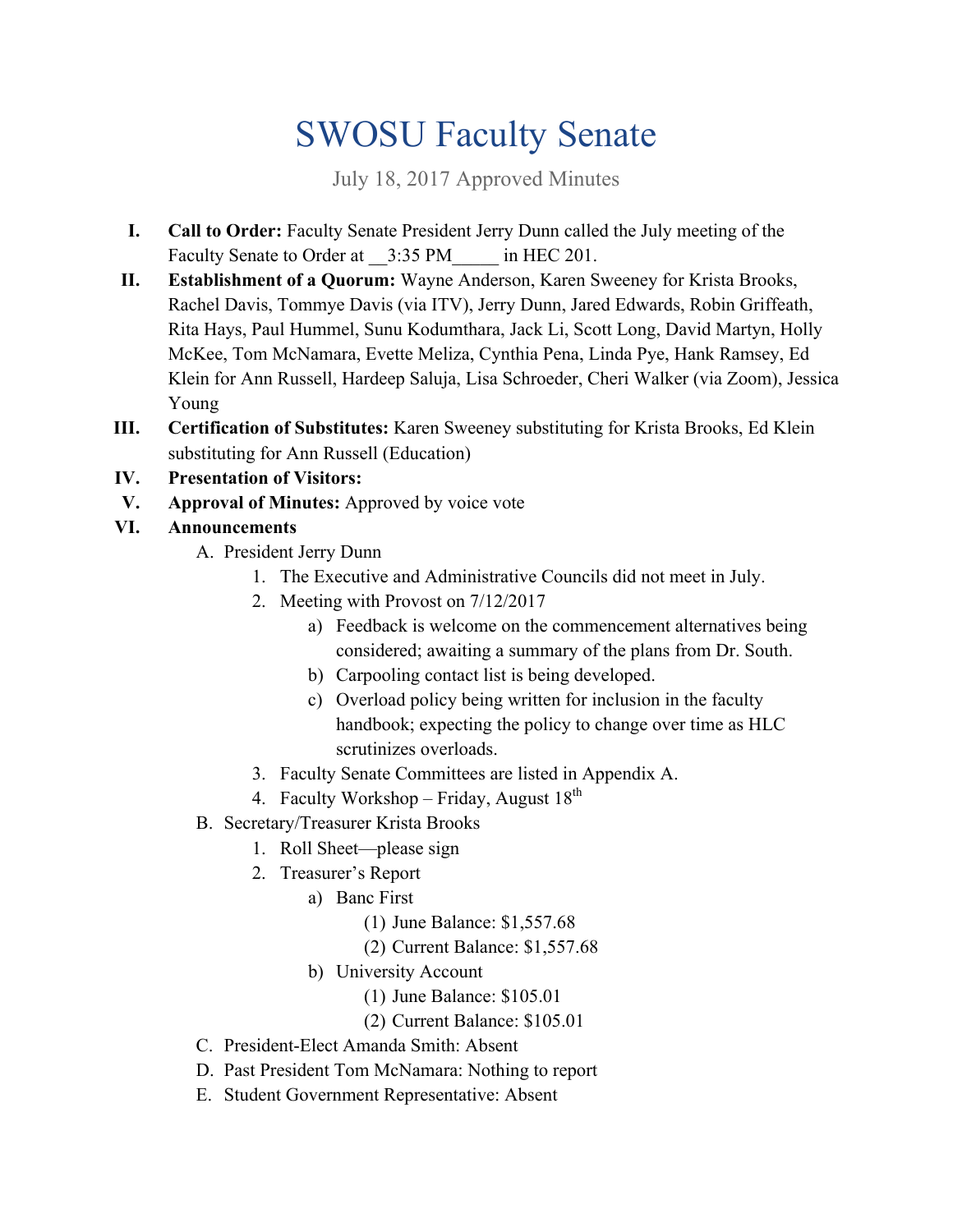# SWOSU Faculty Senate

July 18, 2017 Approved Minutes

- **I. Call to Order:** Faculty Senate President Jerry Dunn called the July meeting of the Faculty Senate to Order at  $-3:35$  PM in HEC 201.
- **II. Establishment of a Quorum:** Wayne Anderson, Karen Sweeney for Krista Brooks, Rachel Davis, Tommye Davis (via ITV), Jerry Dunn, Jared Edwards, Robin Griffeath, Rita Hays, Paul Hummel, Sunu Kodumthara, Jack Li, Scott Long, David Martyn, Holly McKee, Tom McNamara, Evette Meliza, Cynthia Pena, Linda Pye, Hank Ramsey, Ed Klein for Ann Russell, Hardeep Saluja, Lisa Schroeder, Cheri Walker (via Zoom), Jessica Young
- **III. Certification of Substitutes:** Karen Sweeney substituting for Krista Brooks, Ed Klein substituting for Ann Russell (Education)
- **IV. Presentation of Visitors:**
- **V. Approval of Minutes:** Approved by voice vote

## **VI. Announcements**

- A. President Jerry Dunn
	- 1. The Executive and Administrative Councils did not meet in July.
	- 2. Meeting with Provost on  $7/12/2017$ 
		- a) Feedback is welcome on the commencement alternatives being considered; awaiting a summary of the plans from Dr. South.
		- b) Carpooling contact list is being developed.
		- c) Overload policy being written for inclusion in the faculty handbook; expecting the policy to change over time as HLC scrutinizes overloads.
	- 3. Faculty Senate Committees are listed in Appendix A.
	- 4. Faculty Workshop Friday, August  $18^{th}$
- B. Secretary/Treasurer Krista Brooks
	- 1. Roll Sheet—please sign
	- 2. Treasurer's Report
		- a) Banc First
			- (1) June Balance: \$[1,557.68](http:1,557.68)
			- (2) Current Balance: \$[1,557.68](http:1,557.68)
		- b) University Account
			- (1) June Balance: \$105.01
			- (2) Current Balance: \$105.01
- C. President-Elect Amanda Smith: Absent
- D. Past President Tom McNamara: Nothing to report
- E. Student Government Representative: Absent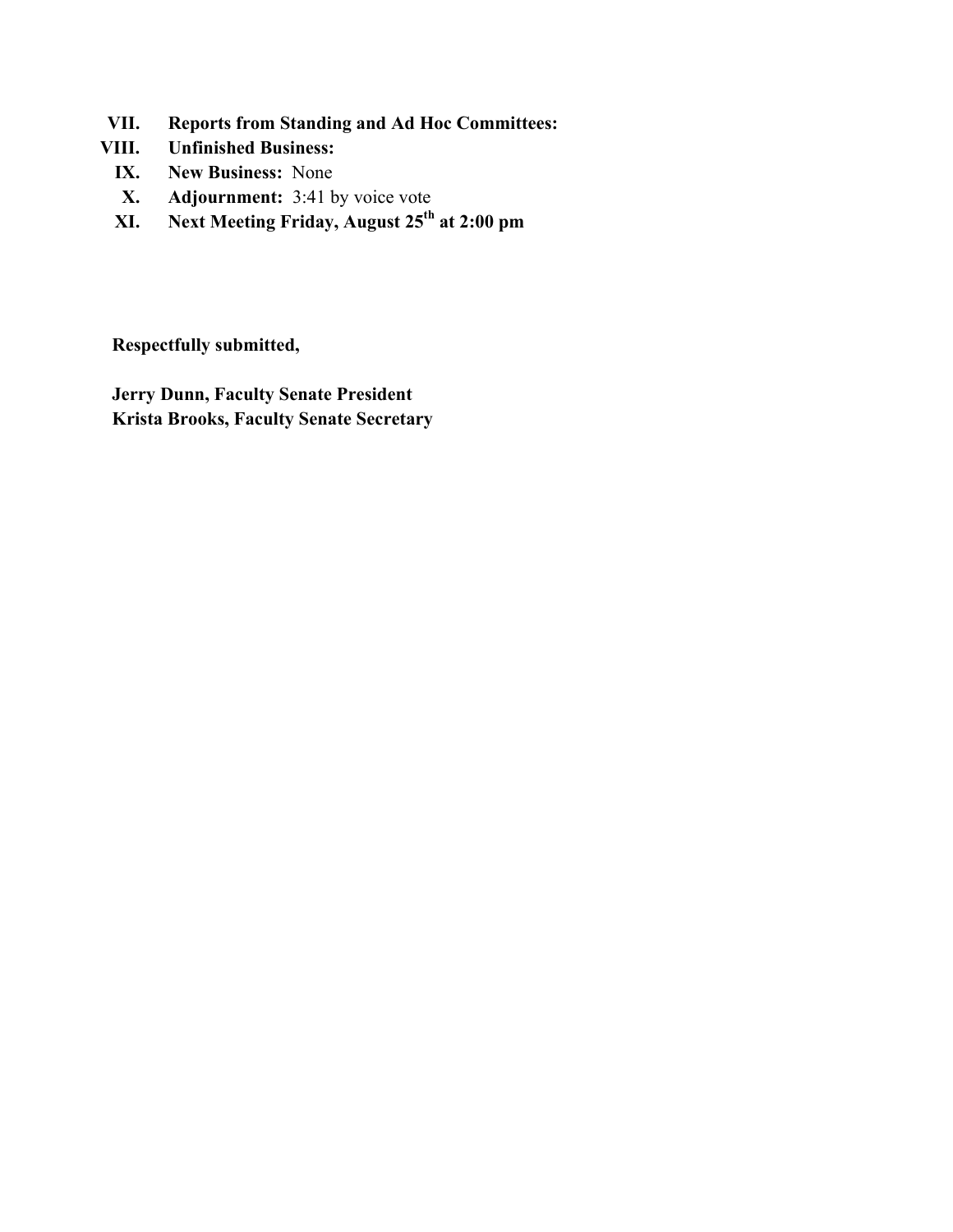- **VII. Reports from Standing and Ad Hoc Committees:**
- **VIII. Unfinished Business:** 
	- **IX. New Business:** None
	- **X. Adjournment:** 3:41 by voice vote
	- **XI. Next Meeting Friday, August 25th at 2:00 pm**

**Respectfully submitted,** 

**Jerry Dunn, Faculty Senate President Krista Brooks, Faculty Senate Secretary**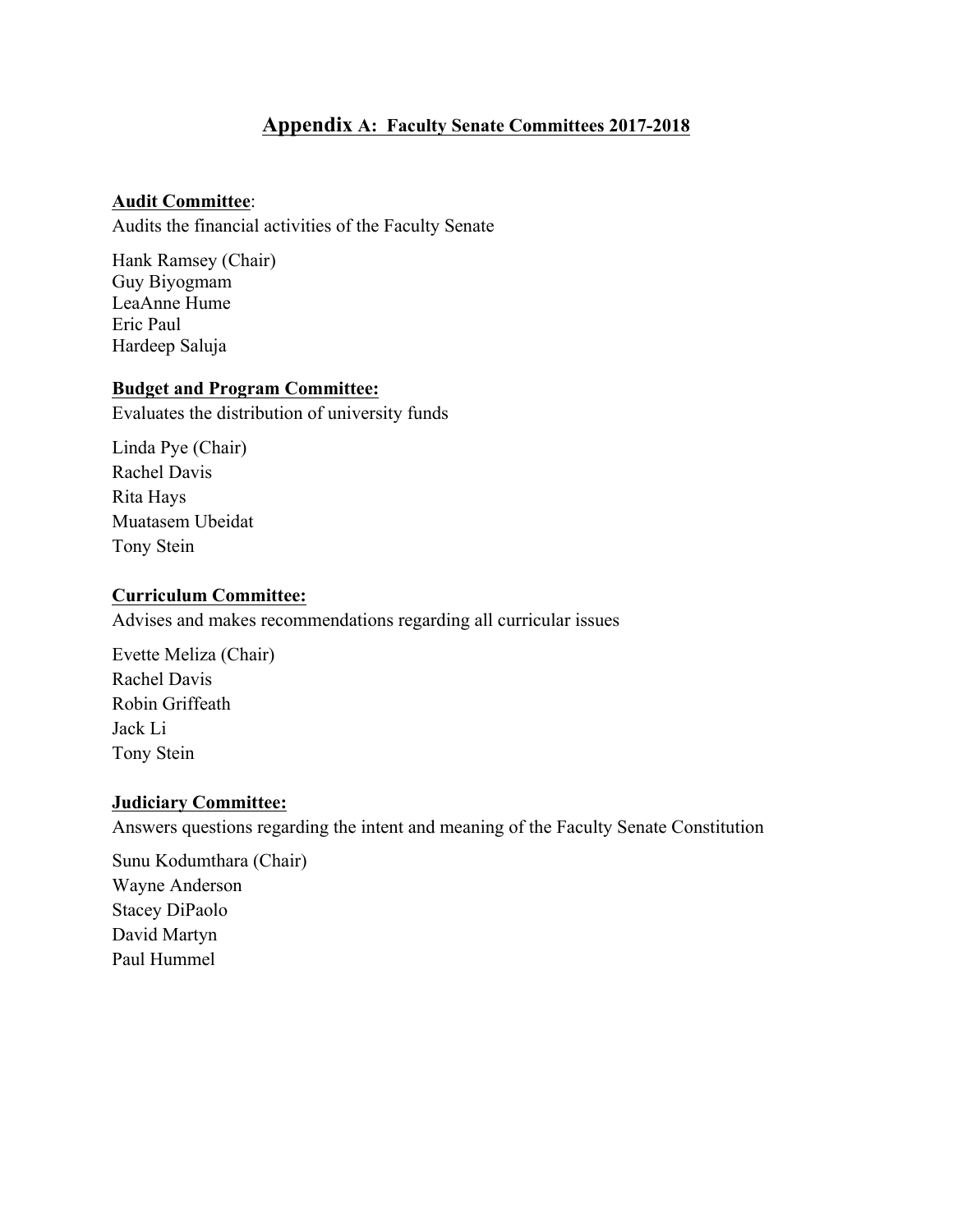### **Appendix A: Faculty Senate Committees 2017-2018**

#### **Audit Committee**:

Audits the financial activities of the Faculty Senate

Hank Ramsey (Chair) Guy Biyogmam LeaAnne Hume Eric Paul Hardeep Saluja

#### **Budget and Program Committee:**

Evaluates the distribution of university funds

Linda Pye (Chair) Rachel Davis Rita Hays Muatasem Ubeidat Tony Stein

#### **Curriculum Committee:**

Advises and makes recommendations regarding all curricular issues

Evette Meliza (Chair) Rachel Davis Robin Griffeath Jack Li Tony Stein

#### **Judiciary Committee:**

Answers questions regarding the intent and meaning of the Faculty Senate Constitution

Sunu Kodumthara (Chair) Wayne Anderson Stacey DiPaolo David Martyn Paul Hummel